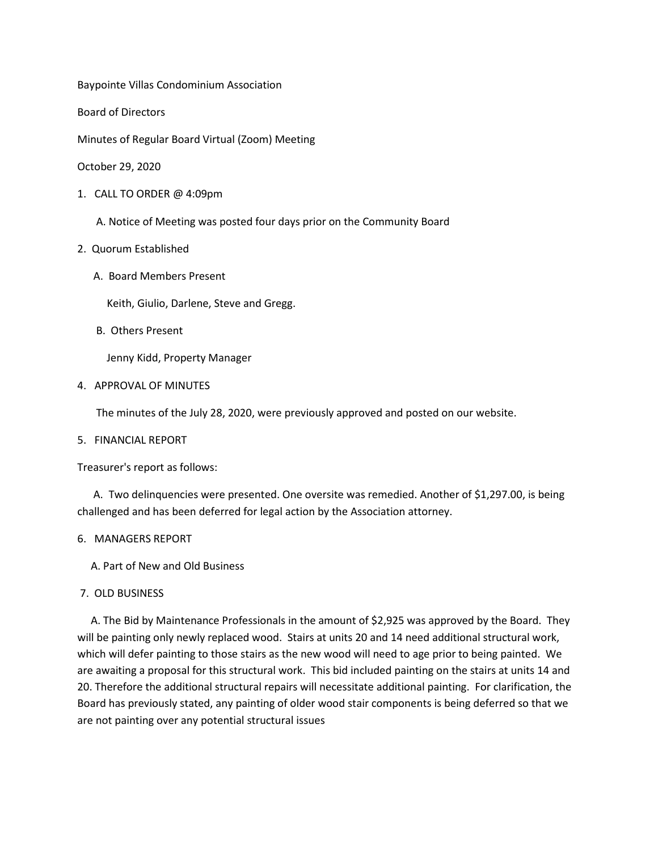Baypointe Villas Condominium Association

Board of Directors

Minutes of Regular Board Virtual (Zoom) Meeting

October 29, 2020

1. CALL TO ORDER @ 4:09pm

A. Notice of Meeting was posted four days prior on the Community Board

## 2. Quorum Established

A. Board Members Present

Keith, Giulio, Darlene, Steve and Gregg.

B. Others Present

Jenny Kidd, Property Manager

4. APPROVAL OF MINUTES

The minutes of the July 28, 2020, were previously approved and posted on our website.

5. FINANCIAL REPORT

Treasurer's report as follows:

 A. Two delinquencies were presented. One oversite was remedied. Another of \$1,297.00, is being challenged and has been deferred for legal action by the Association attorney.

## 6. MANAGERS REPORT

A. Part of New and Old Business

#### 7. OLD BUSINESS

 A. The Bid by Maintenance Professionals in the amount of \$2,925 was approved by the Board. They will be painting only newly replaced wood. Stairs at units 20 and 14 need additional structural work, which will defer painting to those stairs as the new wood will need to age prior to being painted. We are awaiting a proposal for this structural work. This bid included painting on the stairs at units 14 and 20. Therefore the additional structural repairs will necessitate additional painting. For clarification, the Board has previously stated, any painting of older wood stair components is being deferred so that we are not painting over any potential structural issues